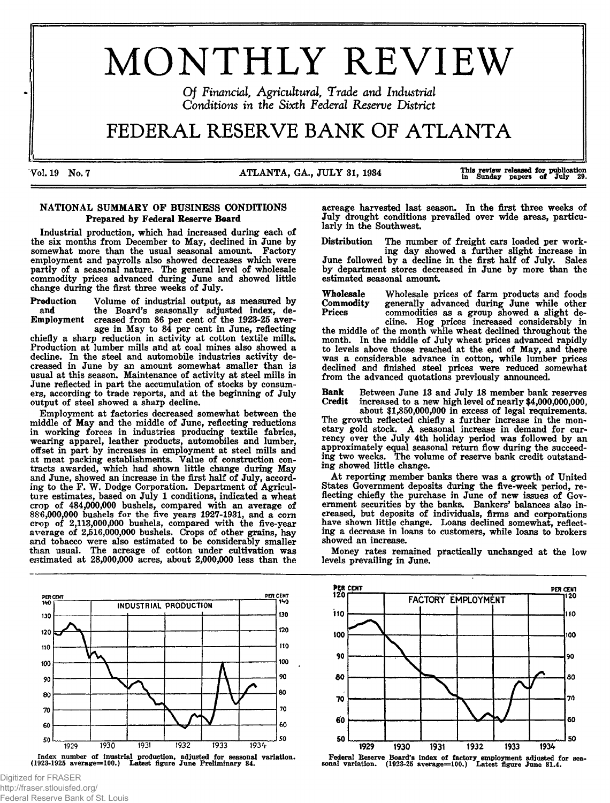# MONTHLY REVIEW

*Of Financial, Agricultural, Trade and Industrial Conditions in the Sixth Federal Reserve District* 

## FEDERAL RESERVE BANK OF ATLANTA

Vol. 19 No. 7 **Matu and State 1 ATLANTA**, GA., JULY 31, 1934 This review released for publication in Sunday papers of July 29.

#### NATIONAL SUMMARY OF BUSINESS CONDITIONS Prepared by Federal Reserve Board

Industrial production, which had increased during each of the six months from December to May, declined in June by somewhat more than the usual seasonal amount. Factory employment and payrolls also showed decreases which were partly of a seasonal nature. The general level of wholesale commodity prices advanced during June and showed little change during the first three weeks of July.

Production Volume of industrial output, as measured by and the Board's seasonally adjusted index, de-Employment creased from 86 per cent of the 1923-25 aver-

age in May to 84 per cent in June, reflecting chiefly a sharp reduction in activity at cotton textile mills. Production at lumber mills and at coal mines also showed a decline. In the steel and automobile industries activity decreased in June by an amount somewhat smaller than is usual at this season. Maintenance of activity at steel mills in June reflected in part the accumulation of stocks by consumers, according to trade reports, and at the beginning of July output of steel showed a sharp decline.

Employment at factories decreased somewhat between the middle of May and the middle of June, reflecting reductions in working forces in industries producing textile fabrics, wearing apparel, leather products, automobiles and lumber, offset in part by increases in employment at steel mills and at meat packing establishments. Value of construction contracts awarded, which had shown little change during May and June, showed an increase in the first half of July, according to the F. W. Dodge Corporation. Department of Agriculture estimates, based on July 1 conditions, indicated a wheat crop of 484,000,000 bushels, compared with an average of 886,000,000 bushels for the five years 1927-1931, and a corn crop of 2,113,000,000 bushels, compared with the five-year average of 2,516,000,000 bushels. Crops of other grains, hay and tobacco were also estimated to be considerably smaller than usual. The acreage of cotton under cultivation was estimated at 28,000,000 acres, about 2,000,000 less than the

PER CENT<br>140 PER CENT INDUSTRIAL PRODUCTION 130 130 120 120 110 110 100 100 90 90 80 80 70 70 60 60 50 50  $1934$ 1929 1930 1931 1932 1933 Index number of inustrial production, adjusted for seasonal variation.<br>(1923-1925 average=100.) Latest figure June Preliminary 84.

Digitized for FRASER http://fraser.stlouisfed.org/ Federal Reserve Bank of St. Louis acreage harvested last season. In the first three weeks of July drought conditions prevailed over wide areas, particularly in the Southwest.

Distribution The number of freight cars loaded per work-

ing day showed a further slight increase in June followed by a decline in the first half of July. Sales by department stores decreased in June by more than the estimated seasonal amount.

Wholesale Wholesale prices of farm products and foods Commodity generally advanced during June while other<br>Prices commodities as a group showed a slight decommodities as a group showed a slight de-

cline. Hog prices increased considerably in the middle of the month while wheat declined throughout the month. In the middle of July wheat prices advanced rapidly to levels above those reached at the end of May, and there was a considerable advance in cotton, while lumber prices declined and finished steel prices were reduced somewhat from the advanced quotations previously announced.

Bank Between June 13 and July 18 member bank reserves Credit increased to a new high level of nearly \$4,000,000,000. increased to a new high level of nearly  $$4,000,000,000$ ,

about \$1,850,000,000 in excess of legal requirements. The growth reflected chiefly a further increase in the monetary gold stock. A seasonal increase in demand for currency over the July 4th holiday period was followed by an approximately equal seasonal return flow during the succeeding two weeks. The volume of reserve bank credit outstanding showed little change.

At reporting member banks there was a growth of United States Government deposits during the five-week period, reflecting chiefly the purchase in June of new issues of Government securities by the banks. Bankers' balances also increased, but deposits of individuals, firms and corporations have shown little change. Loans declined somewhat, reflecting a decrease in loans to customers, while loans to brokers showed an increase.

Money rates remained practically unchanged at the low levels prevailing in June.



Federal Reserve Board's index of factory employment adjusted for sea-<br>**sonal variation.** (1923-25 average=100.) Latest figure June 81.4.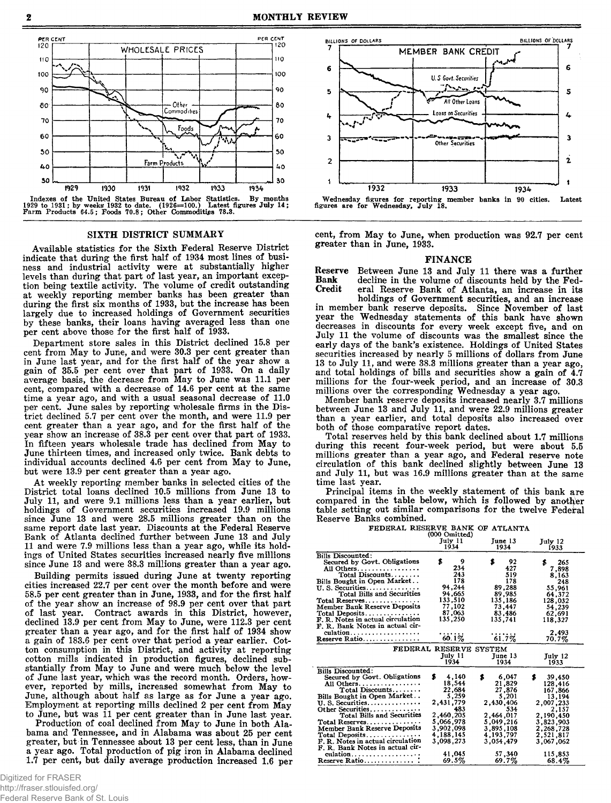

Indexes of the United States Bureau of Labor Statistics. By months<br>1929 to 1931; by weeks 1932 to date. (1926=100.) Latest figures July 14;<br>Farm Products 64.5; Foods 70.8; Other Commodities 78.3.

#### SIXTH DISTRICT SUMMARY

Available statistics for the Sixth Federal Reserve District indicate that during the first half of 1934 most lines of business and industrial activity were at substantially higher levels than during that part of last year, an important exception being textile activity. The volume of credit outstanding at weekly reporting member banks has been greater than during the first six months of 1933, but the increase has been largely due to increased holdings of Government securities by these banks, their loans having averaged less than one per cent above those for the first half of 1933.

Department store sales in this District declined 15.8 per cent from May to June, and were 30.3 per cent greater than in June last year, and for the first half of the year show a gain of 35.5 per cent over that part of 1933. On a daily average basis, the decrease from May to June was 11.1 per cent, compared with a decrease of 14.6 per cent at the same time a year ago, and with a usual seasonal decrease of 11.0 per cent. June sales by reporting wholesale firms in the District declined 5.7 per cent over the month, and were 11.9 per cent greater than a year ago, and for the first half of the year show an increase of 38.3 per cent over that part of 1933. In fifteen years wholesale trade has declined from May to June thirteen times, and increased only twice. Bank debts to individual accounts declined 4.6 per cent from May to June, but were 13.9 per cent greater than a year ago.

At weekly reporting member banks in selected cities of the District total loans declined 10.5 millions from June 13 to July 11, and were 9.1 millions less than a year earlier, but holdings of Government securities increased 19.9 millions since June 13 and were 28.5 millions greater than on the same report date last year. Discounts at the Federal Reserve Bank of Atlanta declined further between June 13 and July 11 and were 7.9 millions less than a year ago, while its holdings of United States securities increased nearly five millions since June 13 and were 38.3 millions greater than a year ago.

Building permits issued during June at twenty reporting cities increased 22.7 per cent over the month before and were 58.5 per cent greater than in June, 1933, and for the first half of the year show an increase of 98.9 per cent over that part of last year. Contract awards in this District, however, declined 13.9 per cent from May to June, were 112.3 per cent greater than a year ago, and for the first half of 1934 show a gain of 183.6 per cent over that period a year earlier. Cotton consumption in this District, and activity at reporting cotton mills indicated in production figures, declined substantially from May to June and were much below the level of June last year, which was the record month. Orders, however, reported by mills, increased somewhat from May to June, although about half as large as for June a year ago. Employment at reporting mills declined 2 per cent from May to June, but was 11 per cent greater than in June last year.

Production of coal declined from May to June in both Alabama and Tennessee, and in Alabama was about 25 per cent greater, but in Tennessee about 13 per cent less, than in June a year ago. Total production of pig iron in Alabama declined 1.7 per cent, but daily average production increased 1.6 per



cent, from May to June, when production was 92.7 per cent greater than in June, 1933.

#### FINANCE

Reserve Between June 13 and July 11 there was a further<br>Rank decline in the volume of discounts held by the Fed-Bank decline in the volume of discounts held by the Federal Reserve Bank of Atlanta, an increase in its

holdings of Government securities, and an increase in member bank reserve deposits. Since November of last year the Wednesday statements of this bank have shown decreases in discounts for every week except five, and on July 11 the volume of discounts was the smallest since the early days of the bank's existence. Holdings of United States securities increased by nearly 5 millions of dollars from June 13 to July 11, and were 38.3 millions greater than a year ago, and total holdings of bills and securities show a gain of  $4.7$ millions for the four-week period, and an increase of 30.3 millions over the corresponding Wednesday a year ago.

Member bank reserve deposits increased nearly 3.7 millions between June 13 and July 11, and were 22.9 millions greater than a year earlier, and total deposits also increased over both of those comparative report dates.

Total reserves held by this bank declined about 1.7 millions during this recent four-week period, but were about 5.5 millions greater than a year ago, and Federal reserve note circulation of this bank declined slightly between June 13 and July 11, but was 16.9 millions greater than at the same time last year.

Principal items in the weekly statement of this bank are compared in the table below, which is followed by another table setting out similar comparisons for the twelve Federal Reserve Banks combined.

FEDERAL RESERVE BANK OF ATLANTA

|                                     | (000 Omitted)          |             |             |
|-------------------------------------|------------------------|-------------|-------------|
|                                     | July 11                | Tune 13     | July 12     |
|                                     | 1934                   | 1934        | 1933        |
| <b>Bills Discounted:</b>            |                        |             |             |
|                                     | s<br>9                 | s<br>92     |             |
| Secured by Govt. Obligations        |                        |             | 265<br>s.   |
| All Others.                         | 234                    | 427         | 7,898       |
| Total Discounts                     | 243                    | 519         | 8.163       |
| Bills Bought in Open Market         | 178                    | 178         | 248         |
| $U. S.$ Securities                  | 94.244                 | 89.288      | 55,961      |
| Total Bills and Securities          | 94,665                 | 89,985      | 64,372      |
| Total Reserves                      | 133,510                | 135,186     | 128,032     |
| Member Bank Reserve Deposits        | 77.102                 | 73,447      | 54,239      |
| Total Deposits                      | 87,063                 | 83,486      | 62,691      |
| F. R. Notes in actual circulation   | 135,250                | 135,741     | 118.327     |
| F. R. Bank Notes in actual cir-     |                        |             |             |
| culation                            | .                      |             | 2.493       |
| Reserve Ratio                       | 60.1%                  | 61.7%       | 70.7%       |
|                                     |                        |             |             |
|                                     | FEDERAL RESERVE SYSTEM |             |             |
|                                     | July 11                | June 13     | July 12     |
|                                     | 1934                   | 1934        | 1933        |
| <b>Bills Discounted:</b>            |                        |             |             |
| Secured by Govt. Obligations        | s.<br>4,140            | \$<br>6,047 | s<br>39,450 |
| All Others                          | 18,544                 | 21,829      | 128,416     |
| Total Discounts                     | 22,684                 | 27,876      |             |
|                                     | 5,259                  | 5,201       | 167,866     |
| Bills Bought in Open Market         |                        |             | 13,194      |
| U. S. Securities.                   | 2,431,779              | 2,430,406   | 2,007,233   |
| Other Securities                    | 483                    | 534         | 2.157       |
| Total Bills and Securities          | 2,460,205              | 2,464,017   | 2,190,450   |
| Total Reserves                      | 5,066,978              | 5,049,216   | 3,823,903   |
| <b>Member Bank Reserve Deposits</b> | 3,902,098              | 3,895,108   | 2,268,728   |
| Total Deposits                      | 4.188.145              | 4.193.797   | 2,521,817   |
| F. R. Notes in actual circulation   | 3.098.273              | 3,054,479   | 3,067,062   |
| F. R. Bank Notes in actual cir-     |                        |             |             |
| culation                            | 41,045                 | 57,340      | 115,853     |
| Reserve Ratio                       | $69.5\%$               | 69.7%       | 68.4%       |
|                                     |                        |             |             |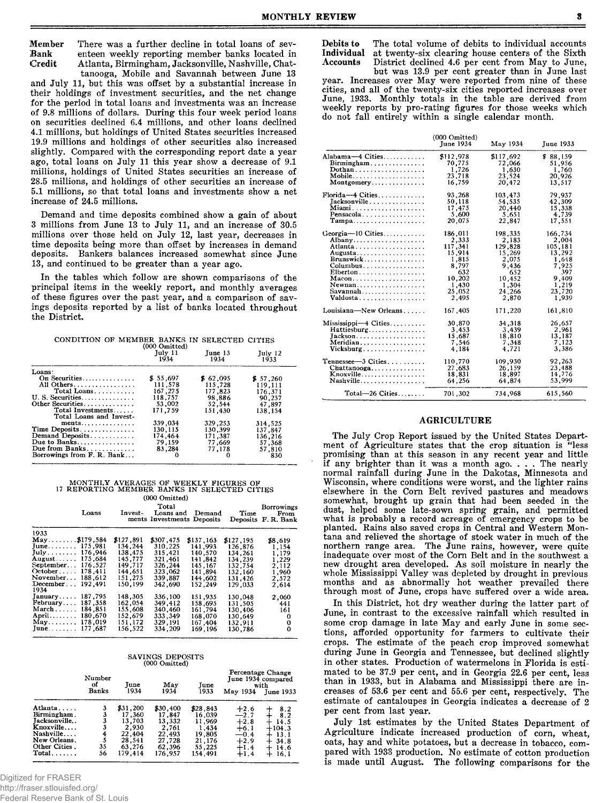There was a further decline in total loans of sev-Member Bank enteen weekly reporting member banks located in Credit Atlanta, Birmingham, Jacksonville, Nashville, Chat-

tanooga, Mobile and Savannah between June 13 and July 11, but this was offset by a substantial increase in their holdings of investment securities, and the net change for the period in total loans and investments was an increase of 9.8 millions of dollars. During this four week period loans on securities declined 6.4 millions, and other loans declined 4.1 millions, but holdings of United States securities increased 19.9 millions and holdings of other securities also increased slightly. Compared with the corresponding report date a year ago, total loans on July 11 this year show a decrease of 9.1 millions, holdings of United States securities an increase of 28.5 millions, and holdings of other securities an increase of 5.1 millions, so that total loans and investments show a net increase of 24.5 millions.

Demand and time deposits combined show a gain of about 3 millions from June  $13$  to July 11, and an increase of 30.5 millions over those held on July 12, last year, decreases in time deposits being more than offset by increases in demand deposits. Bankers balances increased somewhat since June 13, and continued to be greater than a year ago.

In the tables which follow are shown comparisons of the principal items in the weekly report, and monthly averages of these figures over the past year, and a comparison of sayings deposits reported by a list of banks located throughout the District.

CONDITION OF MEMBER BANKS IN SELECTED CITIES

|                            | $(000 \text{ Omitted})$<br>July 11<br>1934 | Tune 13<br>1934 | July 12<br>1933 |
|----------------------------|--------------------------------------------|-----------------|-----------------|
| Loans:                     |                                            |                 |                 |
| On Securities              | \$55.697                                   | \$62.095        | \$57.260        |
| All Others.                | 111,578                                    | 115,728         | 119.111         |
| Total Loans                | 167.275                                    | 177.823         | 176.371         |
| U.S. Securities            | 118.757                                    | 98.886          | 90.257          |
| Other Securities.          | 53,002                                     | 52,544          | 47.897          |
| Total Investments          | 171.759                                    | 151,430         | 138 154         |
| Total Loans and Invest-    |                                            |                 |                 |
| ments                      | 339.034                                    | 329, 253        | 314,525         |
| Time Deposits              | 130,115                                    | 130.399         | 137,847         |
| Demand Deposits            | 174,464                                    | 171,387         | 136,216         |
| Due to Banks               | 79.159                                     | 77,669          | 57.368          |
| Due from Banks             | 83.284                                     | 77.178          | 57,810          |
| Borrowings from F. R. Bank |                                            |                 | 830             |

#### MONTHLY AVERAGES OF WEEKLY FIGURES OF 17 REPORTING MEMBER BANKS IN SELECTED CITIES (000 Omitted)

|                          | Loans   | Invest-   | Total<br>Loans and Demand<br>ments Investments Deposits |           | Time      | <b>Borrowings</b><br>From<br>Deposits F.R. Bank |
|--------------------------|---------|-----------|---------------------------------------------------------|-----------|-----------|-------------------------------------------------|
| 1933                     |         |           |                                                         |           |           |                                                 |
| $May$ \$179.584          |         | \$127,891 | \$307,475                                               | \$137,163 | \$127,195 | \$8,619                                         |
| June 175,981             |         | 134,244   | 310.225                                                 | 141,993   | 126.876   | 1.154                                           |
| $July \dots \dots$       | 176,946 | 138,475   | 315,421                                                 | 140,570   | 134,261   | 1.179                                           |
| $A$ ugust $\ldots$       | 175.684 | 145.777   | 321.461                                                 | 141.842   | 134.239   | 1.229                                           |
| $September.$ .           | 176.527 | 149.717   | 326.244                                                 | 145.167   | 132.754   | 2.112                                           |
| $October \ldots$ .       | 178.411 | 144.651   | 323,062                                                 | 141.894   | 132.160   | 1,960                                           |
| November                 | 188.612 | 151.275   | 339,887                                                 | 144.602   | 131.426   | 2,572                                           |
| $December \dots$<br>1934 | 192.491 | 150.199   | 342,690                                                 | 152.249   | 129.033   | 2.614                                           |
| January                  | 187.795 | 148,305   | 336.100                                                 | 151,935   | 130.048   | 2.060                                           |
| $Fe$ bruary              | 187,358 | 162.054   | 349.412                                                 | 158.695   | 131.505   | 441                                             |
| $March \ldots$ .         | 184.851 | 155.608   | 340.460                                                 | 161.794   | 130,406   | 161                                             |
| April 180,670            |         | 152.679   | 333,349                                                 | 168.070   | 130.649   | 0                                               |
| May 178,019              |         | 151,172   | 329,191                                                 | 167.404   | 132,911   | 0                                               |
| June 177,687             |         | 156.522   | 334.209                                                 | 169.196   | 130.786   | 0                                               |

### SAVINGS DEPOSITS<br>(000 Omitted)

|               | Number<br>оf<br><b>Banks</b> | June<br>1934 | May<br>1934 | Tune<br>1933 | May 1934 | Percentage Change<br>June 1934 compared<br>with |
|---------------|------------------------------|--------------|-------------|--------------|----------|-------------------------------------------------|
|               |                              |              |             |              |          | June 1933                                       |
| Atlanta       | 3                            | \$31,200     | \$30.400    | \$28,843     | $+2.6$   | 8.2                                             |
| Birmingham.   | 3                            | 17.360       | 17.847      | 16,039       | $-2.7$   | 8.2                                             |
| Jacksonville  | 3                            | 13.703       | 13,332      | 11,969       | $+2.8$   | 14.5                                            |
| Knoxville     | 3                            | 2,930        | 2,761       | 1.434        | $+6.1$   | $+104.3$                                        |
| Nashville     | $\frac{4}{5}$                | 22,404       | 22.493      | 19,805       | $-0.4$   | 13.1                                            |
| New Orleans.  |                              | 28,541       | 27,728      | 21,176       | $+2.9$   | 34.8<br>┿                                       |
| Other Cities. | 35                           | 63,276       | 62,396      | 55,225       | $+1.4$   | 14.6<br>┿                                       |
| $Total$       | 56                           | 179,414      | 176.957     | 154,491      | $+1.4$   | 16.1<br>┿                                       |

Digitized for FRASER

http://fraser.stlouisfed.org/

Federal Reserve Bank of St. Louis

The total volume of debits to individual accounts Debits to Individual at twenty-six clearing house centers of the Sixth **Accounts** District declined 4.6 per cent from May to June,

but was 13.9 per cent greater than in June last year. Increases over May were reported from nine of these<br>cities, and all of the twenty-six cities reported increases over June, 1933. Monthly totals in the table are derived from weekly reports by pro-rating figures for those weeks which do not fall entirely within a single calendar month.

|                                            | $(000$ Omitted)<br><b>June 1934</b> | May 1934  | June 1933 |
|--------------------------------------------|-------------------------------------|-----------|-----------|
| Alabama-4 Cities                           | \$112,978                           | \$117,692 | \$88,159  |
| Birmingham                                 | 70,775                              | 72,066    | 51.956    |
| Dothan                                     | 1,726                               | 1,630     | 1.760     |
| Mobile                                     | 23,718                              | 23,524    | 20,926    |
| Montgomery                                 | 16,759                              | 20,472    | 13.517    |
| Florida-4 Cities                           | 93,268                              | 103.473   | 79.937    |
| Jacksonville                               | 50,118                              | 54,535    | 42,309    |
|                                            | 17,475                              | 20,440    | 15,338    |
| Pensacola                                  | 5.600                               | 5,651     | 4,739     |
| $Tampa \ldots \ldots \ldots \ldots \ldots$ | 20,075                              | 22,847    | 17,551    |
| Georgia-10 Cities                          | 186,011                             | 198,335   | 166,734   |
| Albany                                     | 2,333                               | 2,183     | 2.004     |
|                                            | 117,341                             | 129,828   | 105,181   |
| Augusta                                    | 15,914                              | 15,269    | 13,292    |
| Brunswick                                  | 1,815                               | 2,075     | 1.648     |
| Columbus                                   | 8.797                               | 9,436     | 7.925     |
| $Elberton \ldots \ldots \ldots \ldots$     | 632                                 | 652       | 397       |
| Macon                                      | 10.202                              | 10.452    | 9.409     |
| Newnan                                     | 1,430                               | 1,304     | 1,219     |
| Savannah                                   | 25,052                              | 24.266    | 23,720    |
| Valdosta                                   | 2.495                               | 2.870     | 1.939     |
| Louisiana-New Orleans                      | 167,405                             | 171,220   | 161,810   |
| Mississippi-4 Cities                       | 30,870                              | 34,318    | 26.657    |
| Hattiesburg                                | 3,453                               | 3.439     | 2,961     |
| $Jackson$                                  | 15,687                              | 18,810    | 13.187    |
| Meridian                                   | 7.546                               | 7,348     | 7,123     |
| $Vicksburg \dots \dots \dots \dots \dots$  | 4.184                               | 4,721     | 3.386     |
| Tennessee-3 Cities                         | 110.770                             | 109,930   | 92,263    |
| $Chattanooga \ldots \ldots \ldots$         | 27,683                              | 26,159    | 23,488    |
| Knoxville                                  | 18,831                              | 18.897    | 14.776    |
| Nashville                                  | 64.256                              | 64.874    | 53.999    |
| Total—26 Cities.                           | 701,302                             | 734,968   | 615.560   |

#### **AGRICULTURE**

The July Crop Report issued by the United States Department of Agriculture states that the crop situation is "less promising than at this season in any recent year and little<br>if any brighter than it was a month ago.... The nearly<br>normal rainfall during June in the Dakotas, Minnesota and Wisconsin, where conditions were worst, and the lighter rains<br>elsewhere in the Corn Belt revived pastures and meadows somewhat, brought up grain that had been seeded in the dust, helped some late-sown spring grain, and permitted what is probably a record acreage of emergency crops to be planted. Rains also saved crops in Central and Western Montana and relieved the shortage of stock water in much of the northern range area. The June rains, however, were quite inadequate over most of the Corn Belt and in the southwest a new drought area developed. As soil moisture in nearly the whole Mississippi Valley was depleted by drought in previous months and as abnormally hot weather prevailed there through most of June, crops have suffered over a wide area.

In this District, hot dry weather during the latter part of June, in contrast to the excessive rainfall which resulted in some crop damage in late May and early June in some sections, afforded opportunity for farmers to cultivate their crops. The estimate of the peach crop improved somewhat during June in Georgia and Tennessee, but declined slightly in other states. Production of watermelons in Florida is estimated to be 37.9 per cent, and in Georgia 22.6 per cent, less than in 1933, but in Alabama and Mississippi there are increases of 53.6 per cent and 55.6 per cent, respectively. The estimate of cantaloupes in Georgia indicates a decrease of 2 per cent from last year.

July 1st estimates by the United States Department of Agriculture indicate increased production of corn, wheat, oats, hay and white potatoes, but a decrease in tobacco, compared with 1933 production. No estimate of cotton production is made until August. The following comparisons for the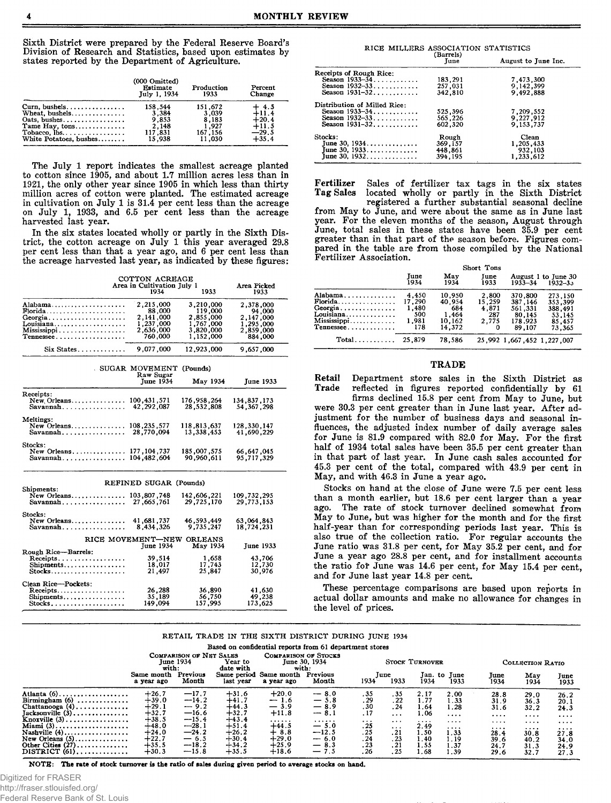Sixth District were prepared by the Federal Reserve Board's Division of Research and Statistics, based upon estimates by states reported by the Department of Agriculture.

|                                                   | (000 Omitted)<br>Estimate<br>July 1, 1934 | Production<br>1933 | Percent<br>Change |
|---------------------------------------------------|-------------------------------------------|--------------------|-------------------|
| Curn, bushels                                     | 158.544                                   | 151.672            | $+4.5$            |
| Wheat. bushels                                    | 3.384                                     | 3,039              | $+11.4$           |
| Oats, bushes                                      | 9.853                                     | 8.183              | $+20.4$           |
| Tame Hay, tons                                    | 2,148                                     | 1,927              | $+11.5$           |
| Tobacco, $\text{lbs} \ldots \ldots \ldots \ldots$ | 117,831                                   | 167,156            | $-29.5$           |
| White Potatoes, bushes                            | 15,938                                    | 11,030             | $+35.4$           |

The July 1 report indicates the smallest acreage planted to cotton since 1905, and about 1.7 million acres less than in 1921, the only other year since 1905 in which less than thirty million acres of cotton were planted. The estimated acreage in cultivation on July 1 is 31.4 per cent less than the acreage on July 1, 1933, and 6.5 per cent less than the acreage harvested last year.

In the six states located wholly or partly in the Sixth District, the cotton acreage on July 1 this year averaged 29.8 per cent less than that a year ago, and 6 per cent less than the acreage harvested last year, as indicated by these figures:

| COTTON ACREAGE                                |                                      |                         |                     |  |  |
|-----------------------------------------------|--------------------------------------|-------------------------|---------------------|--|--|
|                                               | Area in Cultivation July 1<br>1934   | 1933                    | Area Picked<br>1933 |  |  |
| Alabama<br><b>Florida</b>                     | 2.215.000<br>88,000                  | 3,210,000<br>119,000    | 2,378,000<br>94.000 |  |  |
| Georgia                                       | 2,141,000                            | 2,855,000               | 2,147,000           |  |  |
| Louisiana                                     | 1,237,000                            | 1,767,000               | 1,295,000           |  |  |
| Mississippi                                   | 2,636,000                            | 3,820,000               | 2,859,000           |  |  |
|                                               | 760,000                              | 1,152,000               | 884,000             |  |  |
| $Six States \ldots \ldots \ldots$             | 9,077,000                            | 12.923.000              | 9.657,000           |  |  |
|                                               | SUGAR MOVEMENT (Pounds)<br>Raw Sugar |                         |                     |  |  |
|                                               | <b>June 1934</b>                     | May 1934                | June 1933           |  |  |
| Receipts:                                     |                                      |                         |                     |  |  |
| New Orleans                                   | 100,431,571                          | 176,958,264             | 134,837,173         |  |  |
| Savannah                                      | 42.292.087                           | 28,532,808              | 54, 367, 298        |  |  |
| Meltings:                                     |                                      |                         |                     |  |  |
| New Orleans                                   | 108, 235, 577                        | 118,813,637             | 128,330,147         |  |  |
| Savannah                                      | 28,770,094                           | 13,338,453              | 41,690,229          |  |  |
| Stocks:<br>New Orleans                        | 177, 104, 737                        | 185,007,575             | 66, 647, 645        |  |  |
|                                               | 104, 482, 604                        | 90,960,611              | 95,717,329          |  |  |
|                                               | REFINED SUGAR (Pounds)               |                         |                     |  |  |
| Shipments:                                    |                                      |                         |                     |  |  |
| New Orleans                                   | 103,807,748                          | 142,606,221             | 109,732,295         |  |  |
| $Savannah \ldots \ldots \ldots \ldots \ldots$ | 27,665,761                           | 29,725,170              | 29,773,153          |  |  |
| <b>Stocks:</b>                                |                                      |                         |                     |  |  |
| New Orleans                                   | 41,681,737                           | 46.593.449<br>9.735.247 | 63,064,843          |  |  |
| Savannah                                      | 8,434,326                            |                         | 18,724,231          |  |  |
|                                               | RICE MOVEMENT-NEW                    | <b>ORLEANS</b>          |                     |  |  |
|                                               | <b>June 1934</b>                     | May 1934                | <b>June 1933</b>    |  |  |
| Rough Rice-Barrels:                           |                                      |                         |                     |  |  |
| Receipts                                      | 39,514                               | 1,658                   | 43,706              |  |  |
| Shipments                                     | 18,017                               | 17,743                  | 12,730              |  |  |
| $Stocks \ldots \ldots \ldots \ldots$          | 21.497                               | 25,847                  | 30,976              |  |  |
| Clean Rice-Pockets:                           |                                      |                         |                     |  |  |
| Receipts                                      | 26,288                               | 36,890                  | 41,630              |  |  |
| Shipments                                     | 35,189                               | 56,750                  | 49,238              |  |  |
| Stocks                                        | 149,094                              | 157,995                 | 173,625             |  |  |

| RICE MILLERS ASSOCIATION STATISTICS |                   |                     |
|-------------------------------------|-------------------|---------------------|
|                                     | (Barrels)<br>June | August to June Inc. |
| Receipts of Rough Rice:             |                   |                     |
| Season 1933-34                      | 183,291           | 7,473,300           |
| Season 1932-33                      | 257,031           | 9, 142, 399         |
| Season 1931-32                      | 342,810           | 9.492,888           |
| Distribution of Milled Rice:        |                   |                     |
| Season 1933-34                      | 525,396           | 7,209,552           |
| Season 1932-33                      | 565,226           | 9,227,912           |
| Season 1931-32                      | 602.320           | 9.153.737           |
| Stocks:                             | Rough             | Clean               |
| June 30, $1934$                     | 369,157           | 1.205,433           |
| June 30, $1933$                     | 448,861           | 932,103             |
| Tune 30, 1932                       | 394.195           | 1,233,612           |

Fertilizer Sales of fertilizer tax tags in the six states **Tag Sales** located wholly or partly in the Sixth District

registered a further substantial seasonal decline from May to June, and were about the same as in June last year. For the eleven months of the season, August through June, total sales in these states have been 35.9 per cent greater than in that part of the season before. Figures compared in the table are from those compiled by the National Fertilizer Association.

|                                                                                                                                 |                                                  |                                                      | Short Tons                               |                                                              |                                                             |  |
|---------------------------------------------------------------------------------------------------------------------------------|--------------------------------------------------|------------------------------------------------------|------------------------------------------|--------------------------------------------------------------|-------------------------------------------------------------|--|
|                                                                                                                                 | June<br>1934                                     | May<br>1934                                          | Tune<br>1933                             | 1933-34                                                      | August 1 to June 30<br>$1932 - 33$                          |  |
| Alabama<br><b>Florida</b><br>Georgia<br>Louisiana<br>Mississippi<br>$\textcolor{red}{\mathbf{Temessee.}\dots\dots\dots\dots\,}$ | 4.450<br>17,290<br>1.480<br>-500<br>1.981<br>178 | 10,950<br>40.954<br>684<br>1.464<br>10.162<br>14.372 | 2,800<br>15,259<br>4.871<br>287<br>2.775 | 370.800<br>387,146<br>561,331<br>80.145<br>178.923<br>89.107 | 273.150<br>353.399<br>388,491<br>53,145<br>85,457<br>73.365 |  |
| $Total \ldots \ldots$                                                                                                           | 25.879                                           | 78.586                                               |                                          | 25,992 1,667,452 1,227,007                                   |                                                             |  |

#### **TRADE**

Department store sales in the Sixth District as Retail reflected in figures reported confidentially by 61 Trade

firms declined 15.8 per cent from May to June, but were 30.3 per cent greater than in June last year. After adjustment for the number of business days and seasonal influences, the adjusted index number of daily average sales for June is 81.9 compared with 82.0 for May. For the first half of 1934 total sales have been 35.5 per cent greater than in that part of last year. In June cash sales accounted for 45.3 per cent of the total, compared with 43.9 per cent in May, and with 46.3 in June a year ago.

Stocks on hand at the close of June were 7.5 per cent less than a month earlier, but 18.6 per cent larger than a year ago. The rate of stock turnover declined somewhat from May to June, but was higher for the month and for the first half-year than for corresponding periods last year. This is also true of the collection ratio. For regular accounts the June ratio was 31.8 per cent, for May 35.2 per cent, and for June a year ago 28.8 per cent, and for installment accounts the ratio for June was 14.6 per cent, for May 15.4 per cent, and for June last year 14.8 per cent.

These percentage comparisons are based upon reports in actual dollar amounts and make no allowance for changes in the level of prices.

#### RETAIL TRADE IN THE SIXTH DISTRICT DURING JUNE 1934

| Based on confidential reports from 61 department stores                                                                                                                                                                                       |                                                                                                            |                                                                                                          |                                                                                                            |                                                                                                     |                                                                                                |                                                                          |                                                                                     |                                                                                  |                                                                                  |                                                                                   |                                                                                   |                                                                                  |
|-----------------------------------------------------------------------------------------------------------------------------------------------------------------------------------------------------------------------------------------------|------------------------------------------------------------------------------------------------------------|----------------------------------------------------------------------------------------------------------|------------------------------------------------------------------------------------------------------------|-----------------------------------------------------------------------------------------------------|------------------------------------------------------------------------------------------------|--------------------------------------------------------------------------|-------------------------------------------------------------------------------------|----------------------------------------------------------------------------------|----------------------------------------------------------------------------------|-----------------------------------------------------------------------------------|-----------------------------------------------------------------------------------|----------------------------------------------------------------------------------|
|                                                                                                                                                                                                                                               | with:                                                                                                      | COMPARISON OF NET SALES<br><b>June 1934</b>                                                              | Year to<br>date with                                                                                       | <b>COMPARISON OF STOCKS</b><br>with:                                                                | June 30, 1934                                                                                  |                                                                          |                                                                                     | <b>STOCK TURNOVER</b>                                                            |                                                                                  |                                                                                   | COLLECTION RATIO                                                                  |                                                                                  |
|                                                                                                                                                                                                                                               | Same month<br>a year ago                                                                                   | Previous<br>Month                                                                                        | Same period<br>last vear                                                                                   | Same month<br>a year ago                                                                            | Previous<br>Month                                                                              | 1934                                                                     | June<br>1933                                                                        | 1934                                                                             | Jan. to June<br>1933                                                             | June<br>1934                                                                      | May<br>1934                                                                       | June<br>1933                                                                     |
| Atlanta $(6)$<br>Birmingham $(6)$<br>Chattanooga $(4)$ ,<br>$Tacksonville(3) \ldots \ldots \ldots \ldots$<br>Knoxville $(3)$<br>Miami $(3)$<br>Nashville $(4)$<br>New Orleans $(5)$<br>Other Cities $(27)$<br>$DISTRICT(61), \ldots, \ldots,$ | $+26.7$<br>$+39.0$<br>$+29.1$<br>$+32.7$<br>$+38.5$<br>$+48.0$<br>$+24.0$<br>$+22.7$<br>$+35.5$<br>$+30.3$ | $-17.7$<br>$-14.2$<br>$-9.2$<br>$-16.6$<br>$-15.4$<br>$-28.1$<br>$-24.2$<br>$-6.5$<br>$-18.2$<br>$-15.8$ | $+31.6$<br>$+41.7$<br>$+44.3$<br>$+32.7$<br>$+43.4$<br>$+51.4$<br>$+26.2$<br>$+30.4$<br>$+34.2$<br>$+35.5$ | $+20.0$<br>$-1.6$<br>$-3.9$<br>$+11.8$<br>.<br>$+44.5$<br>8.8<br>+<br>$+29.0$<br>$+25.9$<br>$+18.6$ | $-8.0$<br>$-5.8$<br>$-8.9$<br>$-8.1$<br>.<br>$-5.0$<br>$-12.5$<br>$-6.0$<br>8.3<br>—<br>$-7.5$ | . 35<br>.29<br>.30<br>.17<br>$\cdots$<br>.25<br>.25<br>.24<br>.23<br>.26 | . 35<br>. 22<br>.24<br>$\cdots$<br>$\cdots$<br>$\cdots$<br>.21<br>.23<br>.21<br>.25 | 2.17<br>1.77<br>1.64<br>1.06<br>$\cdots$<br>2.49<br>1.50<br>1.40<br>1.55<br>1.68 | 2.00<br>1.33<br>1.28<br>$\cdots$<br><br>$\cdots$<br>1.33<br>1.19<br>1.37<br>1.39 | 28.8<br>31.9<br>31.6<br>$\cdots$<br>$\cdots$<br>.<br>28.4<br>39.6<br>24.7<br>29.6 | 29.0<br>36.3<br>32.2<br>$\cdots$<br>.<br>$\cdots$<br>30.8<br>40.2<br>31.3<br>32.7 | 26.2<br>20.1<br>24.3<br>$\cdots$<br><br>$\cdots$<br>27.8<br>34.0<br>24.9<br>27.3 |

NOTE: The rate of stock turnover is the ratio of sales during given period to average stocks on hand.

Digitized for FRASER http://fraser.stlouisfed.org/

Federal Reserve Bank of St. Louis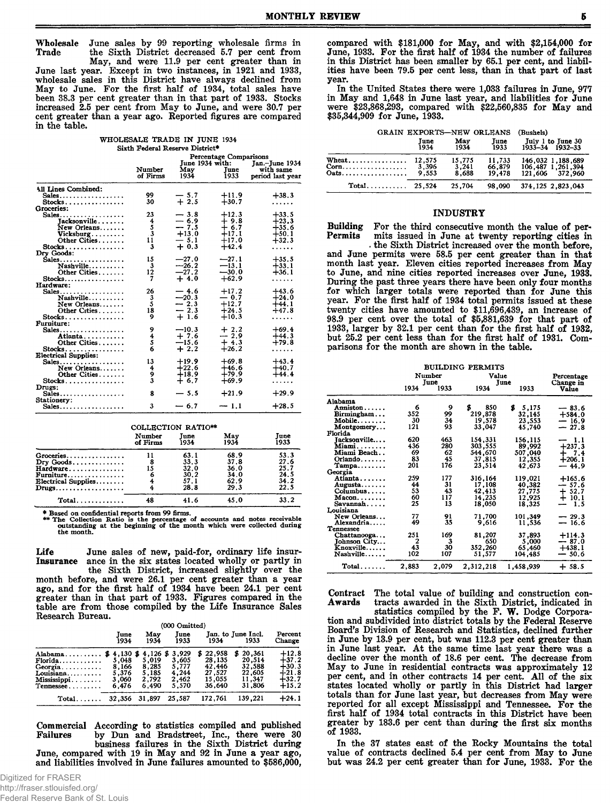Wholesale June sales by 99 reporting wholesale firms in the Sixth District decreased 5.7 per cent from Trade

May, and were 11.9 per cent greater than in June last year. Except in two instances, in 1921 and 1933, wholesale sales in this District have always declined from<br>May to June. For the first half of 1934, total sales have been 38.3 per cent greater than in that part of 1933. Stocks increased 2.5 per cent from May to June, and were 30.7 per cent greater than a year ago. Reported figures are compared in the table.

| WHOLESALE TRADE IN JUNE 1934    |  |  |
|---------------------------------|--|--|
| Sixth Federal Reserve District* |  |  |

|                             | <b>Percentage Comparisons</b> |                |         |                  |  |  |
|-----------------------------|-------------------------------|----------------|---------|------------------|--|--|
|                             |                               | Jan.-June 1934 |         |                  |  |  |
|                             | Number                        | Mav            | Tune    | with same        |  |  |
|                             | of Firms                      | 1934           | 1933    | period last vear |  |  |
| All Lines Combined:         |                               |                |         |                  |  |  |
| Sales                       | 99                            | $-5.7$         | $+11.9$ | $+38.3$          |  |  |
| $Stocks$                    | 30                            | $+2.5$         | $+30.7$ |                  |  |  |
| Groceries:                  |                               |                |         |                  |  |  |
| Sales                       | 23                            | $-3.8$         | $+12.3$ | $+33.5$          |  |  |
| Tacksonville                | 4                             | $-6.9$         | $+9.8$  | $+23.3$          |  |  |
| New Orleans                 | š                             | $-7.5$         | $+6.7$  | $+35.6$          |  |  |
| Vicksburg                   | $\bar{3}$                     | $+13.0$        | $+17.1$ | $+50.1$          |  |  |
| Other Cities                | 11                            | $-5.1$         | $+17.0$ | $+32.3$          |  |  |
| $Stocks$                    | 3                             | $+0.3$         | $+42.4$ |                  |  |  |
| Drv Goods:                  |                               |                |         | .                |  |  |
|                             | 15                            | $-27.0$        | $-27.1$ | $+35.5$          |  |  |
| Sales                       | 3                             | $-26.2$        | $-13.1$ | $+33.1$          |  |  |
| Nashville                   | 12                            | $-27.2$        | $-30.0$ |                  |  |  |
| Other Cities                | 7                             | $+4.0$         | $+62.9$ | $+36.1$          |  |  |
| $Stocks$                    |                               |                |         | .                |  |  |
| Hardware:                   | 26                            |                | $+17.2$ | $+43.6$          |  |  |
| Sales                       |                               | $-4.6$         |         |                  |  |  |
| Nashville                   | 3<br>5                        | $-20.3$        | $-0.7$  | $+24.0$          |  |  |
| New Orleans                 |                               | $-2.3$         | $+12.7$ | $+44.1$          |  |  |
| Other Cities                | 18                            | $-2.3$         | $+24.5$ | $+47.8$          |  |  |
| $Stocks$                    | 9                             | $+1.6$         | $+10.3$ | .                |  |  |
| <b>Furniture:</b>           |                               |                |         |                  |  |  |
| Sales                       | 9                             | $-10.3$        | $+2.2$  | $+69.4$          |  |  |
| Atlanta                     | 4                             | $+7.6$         | $-2.9$  | $+44.3$          |  |  |
| Other Cities                | 5                             | $-15.6$        | $+4,3$  | $+79.8$          |  |  |
| $Stocks$                    | 6                             | $+2.2$         | $+26.2$ | .                |  |  |
| <b>Electrical Supplies:</b> |                               |                |         |                  |  |  |
| Sales                       | 13                            | $+19.9$        | $+69.8$ | $+43.4$          |  |  |
| New Orleans                 | 4                             | $+22.6$        | $+46.6$ | $+40.7$          |  |  |
| Other Cities                | 9                             | $+18.9$        | $+79.9$ | $+44.4$          |  |  |
| $Stocks.$                   | 3                             | $+6.7$         | $+69.9$ | .                |  |  |
| Drugs:                      |                               |                |         |                  |  |  |
| Sales                       | 8                             | $-5.5$         | $+21.9$ | $+29.9$          |  |  |
| Stationery:                 |                               |                |         |                  |  |  |
| Sales                       | 3                             | $-6.7$         | $-1.1$  | $+28.5$          |  |  |

|                                                          |                    | COLLECTION RATIO** |             |              |
|----------------------------------------------------------|--------------------|--------------------|-------------|--------------|
|                                                          | Number<br>of Firms | Tune<br>1934       | May<br>1934 | Tune<br>1933 |
| Groceries                                                |                    | 63.1               | 68.9        | 53.3         |
| $\text{Dry } \text{Goods} \dots \dots \dots \dots \dots$ | 8                  | 33.3               | 37.8        | 27.6         |
| Hardware.                                                | 15                 | 32.0               | 36.0        | 25.7         |
| $\texttt{Furniture} \dots \dots \dots \dots \dots \dots$ | 6                  | 30.2               | 34.0        | 24.5         |
| $\emph{Electrical Supplies}\dots\dots\,.$                | 4                  | 57.1               | 62.9        | 34.2         |
|                                                          |                    | 28.8               | 29.3        | 22.5         |
| Total                                                    | 48                 | 41.6               | 45.0        | 33.2         |

\* Based on confidential reports from 99 firms.<br>\*\* The Collection Ratio is the percentage of accounts and notes receivable<br>outstanding at the beginning of the month which were collected during the month.

Life June sales of new, paid-for, ordinary life insurance in the six states located wholly or partly in Insurance the Sixth District, increased slightly over the month before, and were 26.1 per cent greater than a year<br>ago, and for the first half of 1934 have been 24.1 per cent<br>greater than in that part of 1933. Figures compared in the table are from those compiled by the Life Insurance Sales Research Bureau.

|                                                                        |                                                              | (000 Omitted)                                           |                                                    |                                                                |                                                            |                                                                |
|------------------------------------------------------------------------|--------------------------------------------------------------|---------------------------------------------------------|----------------------------------------------------|----------------------------------------------------------------|------------------------------------------------------------|----------------------------------------------------------------|
|                                                                        | June<br>1934                                                 | Mav<br>1934                                             | June<br>1933                                       | 1934                                                           | Jan. to June Incl.<br>1933                                 | Percent<br>Change                                              |
| Alabama<br>Florida<br>Georgia<br>Louisiana<br>Mississippi<br>Tennessee | $4,130$ \$<br>s<br>5.048<br>8,166<br>5,376<br>3,060<br>6.476 | $4,126$ \$<br>5.019<br>8,285<br>5,185<br>2.792<br>6.490 | 3.929<br>3,605<br>5.777<br>4,244<br>2,462<br>5.570 | 22.958<br>\$<br>28.135<br>42,446<br>27.527<br>15.055<br>36.640 | \$20,361<br>20,514<br>32,588<br>22.605<br>11.347<br>31,806 | $+12.8$<br>$+37.2$<br>$+30.3$<br>$+21.8$<br>$+32.7$<br>$+15.2$ |
| $Total \dots \dots$                                                    | 32,356                                                       | 31,897                                                  | 25,587                                             | 172,761                                                        | 139,221                                                    | $+24.1$                                                        |

Commercial According to statistics compiled and published by Dun and Bradstreet, Inc., there were 30<br>business failures in the Sixth District during Failures June, compared with 19 in May and 92 in June a year ago, and liabilities involved in June failures amounted to \$586,000,

compared with \$181,000 for May, and with \$2,154,000 for June, 1933. For the first half of 1934 the number of failures in this District has been smaller by 65.1 per cent, and liabilities have been 79.5 per cent less, than in that part of last vear.

In the United States there were 1,033 failures in June, 977 in May and 1,648 in June last year, and liabilities for June were \$23,868,293, compared with \$22,560,835 for May and \$35,344,909 for June, 1933.

| GRAIN EXPORTS-NEW ORLEANS | (Bushels)       |                          |                            |                                                           |
|---------------------------|-----------------|--------------------------|----------------------------|-----------------------------------------------------------|
|                           | June<br>1934    | May<br>1934              | June<br>1933               | July 1 to June 30<br>$1933 - 34$ $1932 - 33$              |
| When<br>Oats.             | 12,575<br>9.553 | 15,775<br>3,241<br>8.688 | 11,733<br>66.879<br>19.478 | 146,032 1,188,689<br>106,487 1,261,394<br>121,606 372,960 |
|                           |                 | 25,704                   | 98,090                     | 374, 125 2, 823, 043                                      |

#### **INDUSTRY**

Building For the third consecutive month the value of per-Permits mits issued in June at twenty reporting cities in

the Sixth District increased over the month before, and June permits were 58.5 per cent greater than in that month last year. Eleven cities reported increases from May to June, and nine cities reported increases over June, 1933. During the past three years there have been only four months for which larger totals were reported than for June this year. For the first half of 1934 total permits issued at these<br>twenty cities have amounted to \$11,696,439, an increase of<br>98.9 per cent over the total of \$5,881,639 for that part of 1933, larger by 32.1 per cent than for the first half of 1932, but 25.2 per cent less than for the first half of 1931. Comparisons for the month are shown in the table.

|                            | BUILDING PERMITS |             |           |             |              |
|----------------------------|------------------|-------------|-----------|-------------|--------------|
|                            |                  | Number      | Value     |             | Percentage   |
|                            |                  | <b>Tune</b> |           | Tune        | Change in    |
|                            | 1934             | 1933        | 1934      | 1933        | <b>Value</b> |
| Alabama                    |                  |             |           |             |              |
| Anniston                   | 6                | 9           | \$<br>850 | \$<br>5,175 | $-83.6$      |
| Birmingham                 | 352              | 99          | 219,878   | 32,145      | $+584.0$     |
| ${\bf Mobile} \dots \dots$ | 30               | 34          | 19,578    | 23,553      | $-16.9$      |
| Montgomery                 | 121              | 93          | 33,047    | 45.740      | $-27.8$      |
| Florida                    |                  |             |           |             |              |
| Jacksonville….             | 620              | 463         | 154,331   | 156,115     | -1.1         |
| Miami.                     | 436              | 280         | 303,555   | 89,992      | $+237.3$     |
| Miami Beach                | 69               | 62          | 544,670   | 507,040     | $+7.4$       |
| Orlando                    | 83               | 45          | 37,815    | 12,355      | $+206.1$     |
| $Tampa \ldots$             | 201              | 176         | 23,514    | 42,673      | $-44.9$      |
| Georgia                    |                  |             |           |             |              |
| Atlanta                    | 259              | 177         | 316,164   | 119,021     | $+165.6$     |
| Augusta                    | 44               | 31          | 17,108    | 40,382      | -- 57.6      |
| Columbus                   | 53               | 43          | 42,413    | 27,775      | + 52.7       |
| $Macon. \ldots \ldots$     | 60               | 117         | 14,235    | 12,925      | $+10.1$      |
| Savannah                   | 25               | 13          | 18,050    | 18.325      | 1.5          |
| Louisiana                  |                  |             |           |             |              |
| New Orleans                | 77               | 91          | 71,700    | 101.349     | $-29.3$      |
| Alexandria                 | 49               | 35          | 9.616     | 11.536      | $-16.6$      |
| <b>Tennessee</b>           |                  |             |           |             |              |
| Chattanooga                | 251              | 169         | 81,207    | 37,893      | $+114.3$     |
| Johnson City               | 2                | 3           | 650       | 5,000       | $-87.0$      |
| Knoxville                  | 43               | 30          | 352,260   | 65,460      | $+438.1$     |
| $Nashville \dots$          | 102              | 107         | 51.577    | 104.485     | $-50.6$      |
| $Total \dots \dots$        | 2,883            | 2.079       | 2,312,218 | 1,458,939   | $+58.5$      |

The total value of building and construction con-Contract tracts awarded in the Sixth District, indicated in Awards

statistics compiled by the F. W. Dodge Corporation and subdivided into district totals by the Federal Reserve Board's Division of Research and Statistics, declined further in June by 13.9 per cent, but was 112.3 per cent greater than in June last year. At the same time last year there was a decline over the month of 18.6 per cent. The decrease from May to June in residential contracts was approximately 12 per cent, and in other contracts 14 per cent. All of the six states located wholly or partly in this District had larger totals than for June last year, but decreases from May were reported for all except Mississippi and Tennessee. For the first half of 1934 total contracts in this District have been greater by 183.6 per cent than during the first six months of 1933.

In the 37 states east of the Rocky Mountains the total value of contracts declined 5.4 per cent from May to June but was 24.2 per cent greater than for June, 1933. For the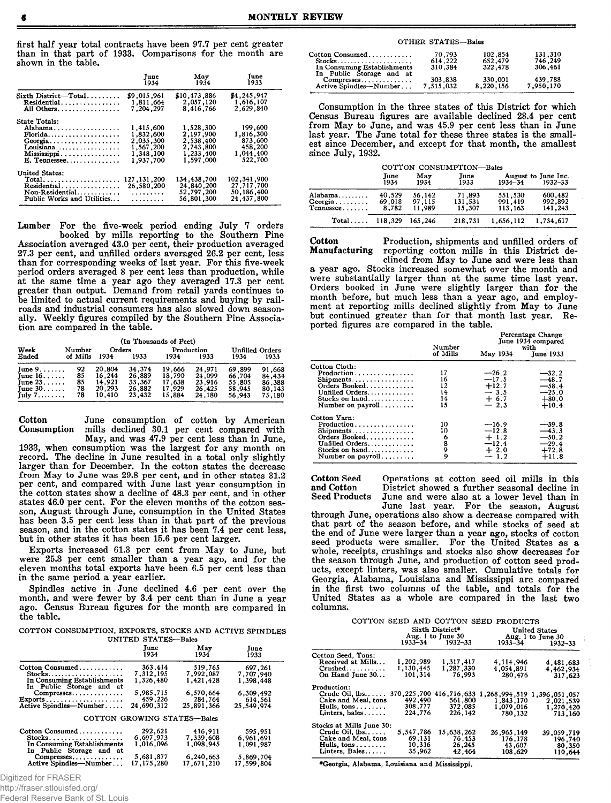first half year total contracts have been 97.7 per cent greater than in that part of 1933. Comparisons for the month are shown in the table.

|                                                                                                                                     | June                                                                       | May                                                                        | June                                                               |
|-------------------------------------------------------------------------------------------------------------------------------------|----------------------------------------------------------------------------|----------------------------------------------------------------------------|--------------------------------------------------------------------|
|                                                                                                                                     | 1934                                                                       | 1934                                                                       | 1933                                                               |
| Sixth District-Total                                                                                                                | \$9,015,961                                                                | \$10,473,886                                                               | \$4,245,947                                                        |
| Residential                                                                                                                         | 1.811.664                                                                  | 2,057,120                                                                  | 1,616,107                                                          |
| All Others.                                                                                                                         | 7,204,297                                                                  | 8,416,766                                                                  | 2,629,840                                                          |
| <b>State Totals:</b><br>Alabama<br>Florida<br>Georgia<br>Louisiana<br>Mississippi<br>E. Tennessee                                   | 1,415,600<br>1.832.600<br>2.035.300<br>1,567,200<br>1,348,100<br>1,937,700 | 1,528,300<br>2.197.900<br>2.538.400<br>2,743,800<br>1,233,400<br>1.597.000 | 199,600<br>1,816,300<br>873,600<br>458,200<br>1,044,400<br>522,700 |
| United States:<br>$Total \dots \dots \dots \dots \dots \dots \dots$<br>Residential<br>Non-Residential<br>Public Works and Utilities | 127, 131, 200<br>26,580,200<br>.<br>. <b>.</b>                             | 134, 438, 700<br>24,840,200<br>52,797,200<br>56.801.300                    | 102, 341, 900<br>27,717,700<br>50, 186, 400<br>24,437,800          |

Lumber For the five-week period ending July 7 orders<br>booked by mills reporting to the Southern Pine<br>Association averaged 43.0 per cent, their production averaged 27.3 per cent, and unfilled orders averaged 26.2 per cent, less than for corresponding weeks of last year. For this five-week<br>period orders averaged 8 per cent less than production, while at the same time a year ago they averaged 17.3 per cent greater than output. Demand from retail yards continues to be limited to actual current requirements and buying by railroads and industrial consumers has also slowed down seasonally. Weekly figures compiled by the Southern Pine Association are compared in the table.

|          |          |        | (In Thousands of Feet) |            |        |                 |        |
|----------|----------|--------|------------------------|------------|--------|-----------------|--------|
| Week     | Number   | Orders |                        | Production |        | Unfilled Orders |        |
| Ended    | of Mills | 1934   | 1933                   | 1934       | 1933   | 1934            | 1933   |
| June 9.  | 92       | 20.804 | 34.374                 | 19,666     | 24.971 | 69.899          | 91,668 |
| Tune 16. | 85       | 16,244 | 26,889                 | 18,790     | 24,099 | 66,704          | 84,43  |
| June 23. | 85       | 14.921 | 33,367                 | 17.638     | 23.916 | 55,805          | 86,388 |
| June 30. | 78       | 20,293 | 26.882                 | 17.929     | 26.425 | 58.945          | 80.14  |
| July 7.  | 78       | 10.410 | 23,432                 | 15,884     | 24,180 | 56,943          | 75,180 |

Cotton June consumption of cotton by American mills declined 30.1 per cent compared with Consumption

May, and was 47.9 per cent less than in June,<br>1933, when consumption was the largest for any month on record. The decline in June resulted in a total only slightly larger than for December. In the cotton states the decrease<br>from May to June was 29.8 per cent, and in other states 31.2 per cent, and compared with June last year consumption in the cotton states show a decline of 48.3 per cent, and in other states 46.0 per cent. For the eleven months of the cotton season, August through June, consumption in the United States has been 3.5 per cent less than in that part of the previous season, and in the cotton states it has been 7.4 per cent less. but in other states it has been 15.6 per cent larger.

Exports increased 61.3 per cent from May to June, but were 25.3 per cent smaller than a year ago, and for the eleven months total exports have been 6.5 per cent less than in the same period a year earlier.

Spindles active in June declined 4.6 per cent over the month, and were fewer by 3.4 per cent than in June a year ago. Census Bureau figures for the month are compared in the table.

COTTON CONSUMPTION, EXPORTS, STOCKS AND ACTIVE SPINDLES UNITED STATES-Bales

|                                                            | Tune<br>1934                | May<br>1934 | June<br>1933 |
|------------------------------------------------------------|-----------------------------|-------------|--------------|
| Cotton Consumed                                            | 363,414                     | 519.765     | 697,261      |
| $Stocks.$                                                  | 7,312,195                   | 7,992,087   | 7,707,940    |
| In Consuming Establishments                                | 1.326.480                   | 1.421.428   | 1.398.448    |
| In Public Storage and at                                   |                             |             |              |
| Compresses                                                 | 5.985.715                   | 6,570,664   | 6.309.492    |
| $\text{Exports} \dots \dots \dots \dots \dots \dots \dots$ | 459,226                     | 284,764     | 614,561      |
| Active Spindles-Number                                     | 24,690,312                  | 25,891,366  | 25.549.974   |
|                                                            | COTTON GROWING STATES-Bales |             |              |
| Cotton Consumed                                            | 292,621                     | 416,911     | 595.951      |
| $Stocks$                                                   | 6,697,973                   | 7.339,608   | 6,961,691    |
| In Consuming Establishments                                | 1.016.096                   | 1.098.945   | 1,091,987    |
| In Public Storage and at                                   |                             |             |              |
| Compresses                                                 | 5,681,877                   | 6,240,663   | 5,869,704    |
| Active Spindles-Number                                     | 17.175.280                  | 17.671.210  | 17,599,804   |

Digitized for FRASER

http://fraser.stlouisfed.org/

Federal Reserve Bank of St. Louis

#### **OTHER STATES-Bales**

| Cotton Consumed                                    | 70.793               | 102.854              | 131.310              |
|----------------------------------------------------|----------------------|----------------------|----------------------|
| $Stocks \ldots \ldots \ldots \ldots$               | 614.222              | 652,479              | 746.249              |
| In Consuming Establishments                        | 310.384              | 322,478              | 306.461              |
| In Public Storage and at<br>Active Spindles-Number | 303,838<br>7.515.032 | 330,001<br>8.220.156 | 439.788<br>7.950.170 |

Consumption in the three states of this District for which Census Bureau figures are available declined 28.4 per cent from May to June, and was 45.9 per cent less than in June last year. The June total for these three states is the smallest since December, and except for that month, the smallest since July. 1932.

| COTTON CONSUMPTION-Bales |
|--------------------------|
|--------------------------|

|                                              | June<br>1934              | May<br>1934                | June<br>1933                | 1934–34                       | August to June Inc.<br>1932-33 |
|----------------------------------------------|---------------------------|----------------------------|-----------------------------|-------------------------------|--------------------------------|
| \labama .<br>eorgia<br>l'ennessee <i>. .</i> | 40.529<br>69.018<br>8.782 | 56.142<br>97.115<br>11.989 | 71.893<br>131,531<br>15,307 | 551.530<br>991.419<br>113.163 | 600,482<br>992.892<br>141.243  |
| $Total \dots$                                | 118,329 165,246           |                            | 218.731                     | 1,656,112                     | 1.734.617                      |

Cotton Production, shipments and unfilled orders of Manufacturing reporting cotton mills in this District declined from May to June and were less than a year ago. Stocks increased somewhat over the month and were substantially larger than at the same time last year.<br>Orders booked in June were slightly larger than for the month before, but much less than a year ago, and employ-<br>ment at reporting mills declined slightly from May to June but continued greater than for that month last year. Reported figures are compared in the table.

|                                                                                                                                          | Number                           |                                                              | <b>Percentage Change</b><br>June 1934 compared<br>with         |
|------------------------------------------------------------------------------------------------------------------------------------------|----------------------------------|--------------------------------------------------------------|----------------------------------------------------------------|
|                                                                                                                                          | of Mills                         | May 1934                                                     | <b>June 1933</b>                                               |
| Cotton Cloth:<br>Production<br>Shipments<br>Orders Booked<br>Unfilled Orders<br>Stocks on hand<br>Number on $\text{pavroll} \dots \dots$ | 17<br>16<br>12<br>14<br>14<br>15 | $-26.2$<br>$-17.5$<br>$+12.7$<br>$-3.5$<br>$+ 6.7$<br>$-2.3$ | $-32.2$<br>$-48.7$<br>$-58.4$<br>$-25.0$<br>$+80.0$<br>$+10.4$ |
| Cotton Yarn:<br>Production<br>Shipments<br>Orders Booked<br>Unfilled Orders<br>Stocks on hand<br>Number on $payroll$ , , , , , , , , ,   | 10<br>10<br>6<br>8<br>9<br>9     | $-16.9$<br>$-12.8$<br>$+1.2$<br>$-12.4$<br>$+2.0$<br>$-1.2$  | $-39.8$<br>$-43.3$<br>$-50.2$<br>$-29.4$<br>$+72.8$<br>$+11.8$ |

**Cotton Seed** and Cotton **Seed Products** 

Operations at cotton seed oil mills in this District showed a further seasonal decline in June and were also at a lower level than in

June last year. For the season, August through June, operations also show a decrease compared with that part of the season before, and while stocks of seed at the end of June were larger than a year ago, stocks of cotton seed products were smaller. For the United States as a whole, receipts, crushings and stocks also show decreases for the season through June, and production of cotton seed products, except linters, was also smaller. Cumulative totals for Georgia, Alabama, Louisiana and Mississippi are compared in the first two columns of the table, and totals for the United States as a whole are compared in the last two columns.

|                             |             | Sixth District*<br>Aug. 1 to June 30<br>1933-34 1932-33 | COTTON SEED AND COTTON SEED PRODUCTS<br>United States<br>Aug. 1 to June 30<br>1933–34 |               |  |
|-----------------------------|-------------|---------------------------------------------------------|---------------------------------------------------------------------------------------|---------------|--|
|                             |             |                                                         |                                                                                       | $1932 - 33$   |  |
| Cotton Seed, Tons:          |             |                                                         |                                                                                       |               |  |
| Received at Mills           | 1,202,989   | 1,317,417                                               | 4,114,946                                                                             | 4.481.683     |  |
| $Crashed$                   | 1,130,445   | 1,287,330                                               | 4.054,891                                                                             | 4,462,934     |  |
| On Hand June 30             | 101,314     | 76.993                                                  | 280,476                                                                               | 317.623       |  |
|                             |             |                                                         |                                                                                       |               |  |
| Production:                 |             |                                                         |                                                                                       |               |  |
| Crude Oil, 1bs.             | 370,225,700 | 416,716,633                                             | 1,268,994.519                                                                         | 1,396,051,057 |  |
| Cake and Meal, tons         | 492.490     | 561,800                                                 | 1,843,170                                                                             | 2.021.539     |  |
| Hulls, $tons \ldots \ldots$ | 308,777     | 372,085                                                 | 1,079.016                                                                             | 1.270,420     |  |
| Linters, bales $\ldots$     | 224.776     | 226,142                                                 | 780,132                                                                               | 713,160       |  |
|                             |             |                                                         |                                                                                       |               |  |
| Stocks at Mills June 30:    |             |                                                         |                                                                                       |               |  |
| Crude Oil, $[bs, \ldots]$   | 5,547,786   | 15,638,262                                              | 26,965,149                                                                            | 39,059,719    |  |
| Cake and Meal, tons         | 69,131      | 76,453                                                  | 176.178                                                                               | 196,740       |  |
| Hulls, tons                 | 10,336      | 26,245                                                  | 43,607                                                                                | 80,350        |  |
| Linters, Bales              | 35,962      | 42.464                                                  | 108,629                                                                               | 110.644       |  |
|                             |             |                                                         |                                                                                       |               |  |

\*Georgia, Alabama, Louisiana and Mississippi.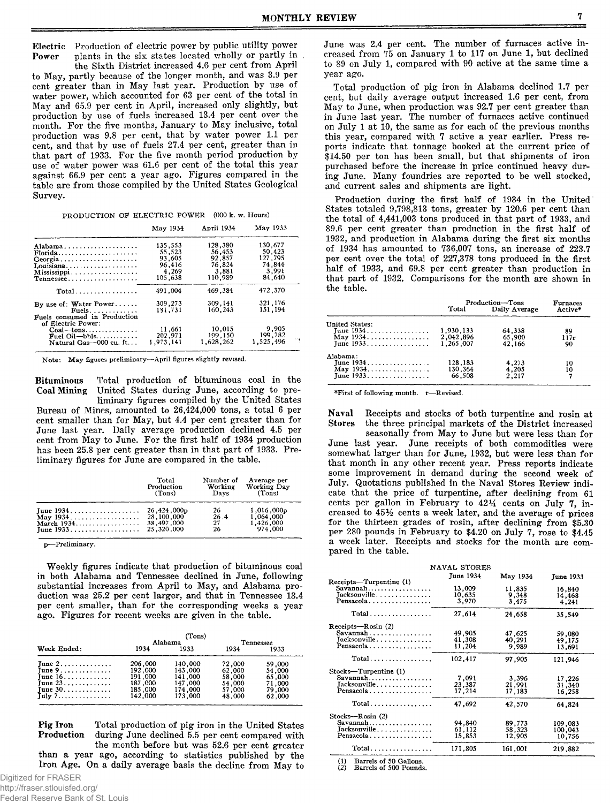Electric Production of electric power by public utility power plants in the six states located wholly or partly in Power

the Sixth District increased 4.6 per cent from April to May, partly because of the longer month, and was 3.9 per cent greater than in May last year. Production by use of water power, which accounted for 63 per cent of the total in May and 65.9 per cent in April, increased only slightly, but production by use of fuels increased 13.4 per cent over the month. For the five months, January to May inclusive, total production was 9.8 per cent, that by water power 1.1 per cent, and that by use of fuels 27.4 per cent, greater than in that part of 1933. For the five month period production by use of water power was 61.6 per cent of the total this year against 66.9 per cent a year ago. Figures compared in the table are from those compiled by the United States Geological Survey.

| PRODUCTION OF ELECTRIC POWER (000 k. w. Hours) |  |  |  |  |
|------------------------------------------------|--|--|--|--|
|------------------------------------------------|--|--|--|--|

|                                                                                   | May 1934                             | April 1934                           | May 1933                             |  |
|-----------------------------------------------------------------------------------|--------------------------------------|--------------------------------------|--------------------------------------|--|
| Alabama<br>Florida                                                                | 135,553<br>55.523                    | 128.380<br>56.453                    | 130,677<br>50.423                    |  |
| Georgia<br>Louisiana<br>Mississippi                                               | 93.605<br>96.416<br>4.269<br>105,638 | 92.857<br>76 824<br>3,881<br>110.989 | 127.795<br>74.844<br>3.991<br>84.640 |  |
| Tennessee<br>$Total$                                                              | 491.004                              | 469.384                              | 472,370                              |  |
| By use of: Water Power<br>$Fuels.$<br>Fuels consumed in Production                | 309,273<br>181,731                   | 309,141<br>160.243                   | 321,176<br>151,194                   |  |
| of Electric Power:<br>$Coal$ --tons<br>Fuel $Oil$ -bbls<br>Natural Gas-000 cu. ft | 11,661<br>202.971<br>1.973.141       | 10.015<br>199.150<br>1.628.262       | 9.905<br>199,782<br>1,525,496        |  |

Note: May figures preliminary-April figures slightly revised.

Total production of bituminous coal in the **Bituminous Coal Mining** United States during June, according to preliminary figures compiled by the United States

Bureau of Mines, amounted to 26,424,000 tons, a total 6 per cent smaller than for May, but 4.4 per cent greater than for June last year. Daily average production declined 4.5 per cent from May to June. For the first half of 1934 production has been 25.8 per cent greater than in that part of 1933. Preliminary figures for June are compared in the table.

| Total<br>Production<br>(Tons) | Number of<br>Working<br>Days | Average per<br>Working Day<br>(Tons) |  |
|-------------------------------|------------------------------|--------------------------------------|--|
|                               | 26                           | 1.016.000p                           |  |
|                               | 26.4                         | 1.064.000                            |  |
| 38,497,000                    | 27                           | 1,426,000                            |  |
|                               | 26.                          | 974.000                              |  |

p-Preliminary.

Weekly figures indicate that production of bituminous coal in both Alabama and Tennessee declined in June, following substantial increases from April to May, and Alabama production was 25.2 per cent larger, and that in Tennessee 13.4 per cent smaller, than for the corresponding weeks a year ago. Figures for recent weeks are given in the table.

|                                      |         | (Tons)  |           |        |  |
|--------------------------------------|---------|---------|-----------|--------|--|
|                                      |         | Alabama | Tennessee |        |  |
| Week Ended:                          | 1934    | 1933    | 1934      | 1933   |  |
| June $2, \ldots, \ldots, \ldots$     | 206,000 | 140,000 | 72,000    | 59.000 |  |
| June $9 \ldots \ldots \ldots \ldots$ | 192,000 | 143.000 | 62.000    | 54,000 |  |
| June $16. \ldots \ldots \ldots$      | 191.000 | 141.000 | 58,000    | 65.000 |  |
| June $23$                            | 187.000 | 147,000 | 54,000    | 71,000 |  |
| June $30$                            | 185.000 | 174,000 | 57,000    | 79,000 |  |
| $\text{Iulv 7}\dots$                 | 142,000 | 173.000 | 48.000    | 62,000 |  |

**Pig Iron** Total production of pig iron in the United States Production during June declined 5.5 per cent compared with the month before but was 52.6 per cent greater

than a year ago, according to statistics published by the Iron Age. On a daily average basis the decline from May to June was 2.4 per cent. The number of furnaces active increased from  $75$  on January 1 to 117 on June 1, but declined to 89 on July 1, compared with 90 active at the same time a vear ago.

Total production of pig iron in Alabama declined 1.7 per cent. but daily average output increased 1.6 per cent, from May to June, when production was 92.7 per cent greater than in June last year. The number of furnaces active continued on July 1 at 10, the same as for each of the previous months this year, compared with 7 active a year earlier. Press reports indicate that tonnage booked at the current price of \$14.50 per ton has been small, but that shipments of iron purchased before the increase in price continued heavy during June. Many foundries are reported to be well stocked, and current sales and shipments are light.

Production during the first half of 1934 in the United States totaled 9,798,813 tons, greater by 120.6 per cent than the total of 4,441,003 tons produced in that part of 1933, and 89.6 per cent greater than production in the first half of 1932, and production in Alabama during the first six months of 1934 has amounted to 736,007 tons, an increase of 223.7 per cent over the total of 227,378 tons produced in the first half of 1933, and 69.8 per cent greater than production in that part of 1932. Comparisons for the month are shown in the table.

|                       | Production-Tons |               | <b>Furnaces</b> |  |
|-----------------------|-----------------|---------------|-----------------|--|
|                       | Total           | Daily Average | Active*         |  |
| <b>United States:</b> |                 |               |                 |  |
| June 1934.            | 1,930,133       | 64,338        | 89              |  |
|                       | 2,042.896       | 65,900        | 117r            |  |
|                       | 1.265.007       | 42.166        | 90              |  |
| Alabama:              |                 |               |                 |  |
| Tune 1934.            | 128,183         | 4,273         | 10              |  |
| May $1934$            | 130,364         | 4.205         | 10              |  |
| Tune 1933.            | 66.508          | 2.217         |                 |  |

\*First of following month. r-Revised.

Receipts and stocks of both turpentine and rosin at Naval **Stores** the three principal markets of the District increased

seasonally from May to June but were less than for June last year. June receipts of both commodities were somewhat larger than for June, 1932, but were less than for that month in any other recent year. Press reports indicate some improvement in demand during the second week of July. Quotations published in the Naval Stores Review indicate that the price of turpentine, after declining from 61 cents per gallon in February to 421/4 cents on July 7, increased to 45% cents a week later, and the average of prices for the thirteen grades of rosin, after declining from \$5.30 per 280 pounds in February to \$4.20 on July 7, rose to \$4.45 a week later. Receipts and stocks for the month are compared in the table.

| NAVAL STORES                                                     |                            |                            |                              |  |  |  |
|------------------------------------------------------------------|----------------------------|----------------------------|------------------------------|--|--|--|
|                                                                  | <b>June 1934</b>           | May 1934                   | June 1933                    |  |  |  |
| Receipts-Turpentine (1)<br>Savannah<br>Tacksonville<br>Pensacola | 13,009<br>10,635<br>3,970  | 11,835<br>9.348<br>3,475   | 16,840<br>14,468<br>4,241    |  |  |  |
| Total                                                            | 27.614                     | 24,658                     | 35.549                       |  |  |  |
| Receipts-Rosin (2)<br>Savannah<br>Jacksonville<br>Pensacola      | 49,905<br>41,308<br>11,204 | 47,625<br>40,291<br>9.989  | 59.080<br>49.175<br>13,691   |  |  |  |
| $Total \dots \dots \dots \dots \dots$                            | 102,417                    | 97.905                     | 121,946                      |  |  |  |
| Stocks-Turpentine (1)<br>Savannah<br>Jacksonville<br>Pensacola   | 7.091<br>23,387<br>17,214  | 3,396<br>21,991<br>17.183  | 17,226<br>31,340<br>16,258   |  |  |  |
| Total                                                            | 47,692                     | 42,570                     | 64.824                       |  |  |  |
| Stocks-Rosin (2)<br>Savannah<br>Jacksonville<br>Pensacola        | 94.840<br>61,112<br>15,853 | 89,773<br>58,323<br>12.905 | 109,083<br>100.043<br>10,756 |  |  |  |
| $Total \dots \dots \dots \dots \dots \dots$                      | 171.805                    | 161,001                    | 219,882                      |  |  |  |

Barrels of 50 Gallons.<br>Barrels of 500 Pounds.